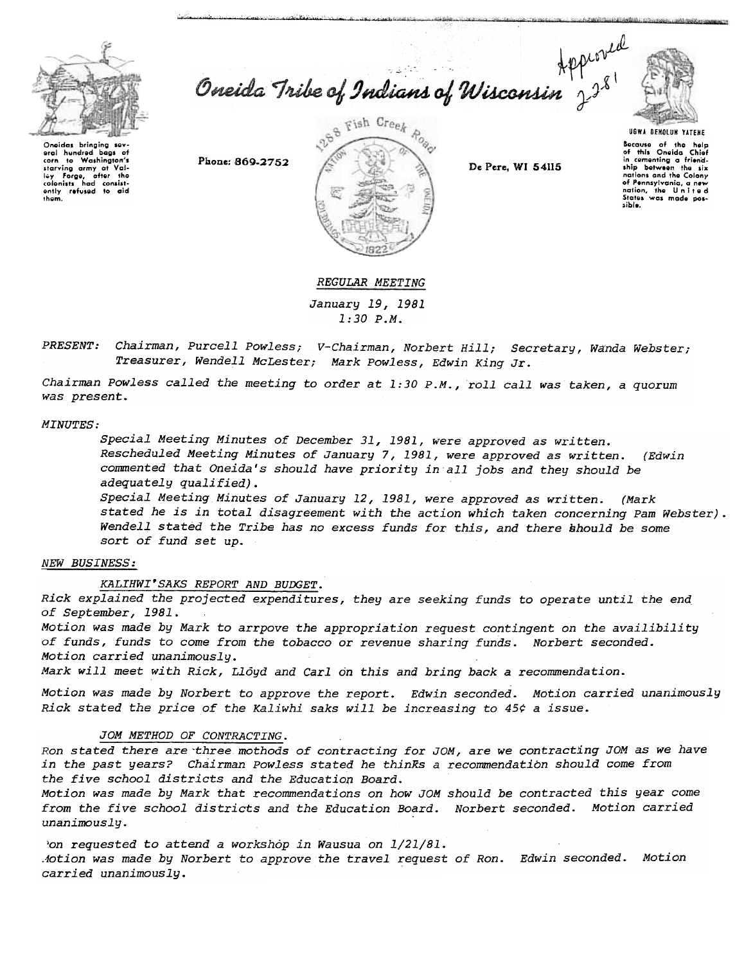

Oneida Tribe of Indians of Wisconsin  $2^{3^{8}}$ 



Onoidas bringing so oral hundrod bags of corn to Washington's<br>starving army at Val-<br>Iey Forge, after the colonists had consist-<br>| ently refused to aid<br>| them.

,;""'-"' "",,,," c\_""~"",,;,,;,;..,,,...'c...,-, " ~.



Because of the help<br>of this Oneida Chiof in cGmonting a friend-ship bGtweon tho six nations and tho Colony of Pennsylvania, a new<br>nation, the United<br>States was made pos-.ible.

# REGULAR MEETING

January 19,1981 1:30 P.M.

PRESENT: Chairman, Purcell Powless; V-Chairman, Norbert Hill; Secretary, Wanda Webster; Treasurer, Wendell McLester; Mark Powless, Edwin King Jr.

Chairman Powless called the meeting to order at 1:30 P.M., roll call was taken, a quorum was present.

#### MINUTES:

Special Meeting Minutes of December 31, 1981, were approved as written. Rescheduled Meeting Minutes of January 7,1981, were approved as written. (Edwin commented that Oneida's should have priority in all jobs and they should be adequately qualified).

Special Meeting Minutes of January 12,1981, were approved as written. (Mark stated he is in total disagreement with the action which taken concerning Pam Webster). Wendell stated the Tribe has no excess funds for this, and there should be some sort of fund set up.

# NEW BUSINESS:

KALIHWI'SAKS REPORT AND BUDGET.

Rick explained the projected expenditures, they are seeking funds to operate until the end of September, 1981.

Motion was made by Mark to arrpove the appropriation request contingent on the availibility of funds, funds to come from the tobacco or revenue sharing funds. Norbert seconded. Motion carried unanimously.

Mark will meet with Rick, Lloyd and Carl on this and bring back a recommendation.

Motion was made by Norbert to approve the report. Edwin seconded. Motion carried unanimously Rick stated the price of the Kaliwhi saks will be increasing to  $45¢$  a issue.

# JOM METHOD OF CONTRACTING.

Ron stated there are three mothods of contracting for JOM, are we contracting JOM as we have in the past years? Chairman Powless stated he thinKs a recommendation should come from the five school districts and the Educatiop Board.

Motion was made by Mark that recommendations on how JOM should be contracted this year come from the five school districts and the Education Board. Norbert seconded. Motion carried unanimously.

Jon requested to attend a workshop in Wausua on 1/21/81. Aotion was made by Norbert to approve the travel request of Ron. Edwin seconded. Motion carried unanimously.